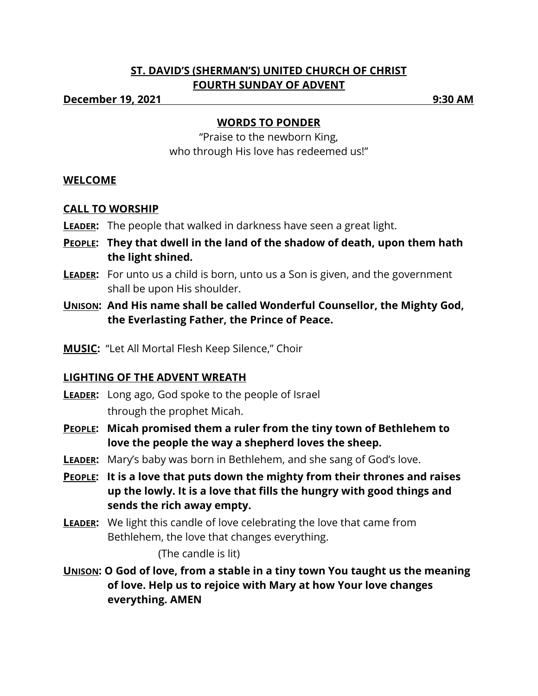# **ST. DAVID'S (SHERMAN'S) UNITED CHURCH OF CHRIST FOURTH SUNDAY OF ADVENT**

**December 19, 2021 9:30 AM**

### **WORDS TO PONDER**

"Praise to the newborn King, who through His love has redeemed us!"

## **WELCOME**

# **CALL TO WORSHIP**

- **LEADER:** The people that walked in darkness have seen a great light.
- **PEOPLE: They that dwell in the land of the shadow of death, upon them hath the light shined.**
- **LEADER:** For unto us a child is born, unto us a Son is given, and the government shall be upon His shoulder.
- **UNISON: And His name shall be called Wonderful Counsellor, the Mighty God, the Everlasting Father, the Prince of Peace.**
- **MUSIC:** "Let All Mortal Flesh Keep Silence," Choir

## **LIGHTING OF THE ADVENT WREATH**

- **LEADER:** Long ago, God spoke to the people of Israel through the prophet Micah.
- **PEOPLE: Micah promised them a ruler from the tiny town of Bethlehem to love the people the way a shepherd loves the sheep.**
- **LEADER:** Mary's baby was born in Bethlehem, and she sang of God's love.
- **PEOPLE: It is a love that puts down the mighty from their thrones and raises up the lowly. It is a love that fills the hungry with good things and sends the rich away empty.**
- **LEADER:** We light this candle of love celebrating the love that came from Bethlehem, the love that changes everything.

(The candle is lit)

**UNISON: O God of love, from a stable in a tiny town You taught us the meaning of love. Help us to rejoice with Mary at how Your love changes everything. AMEN**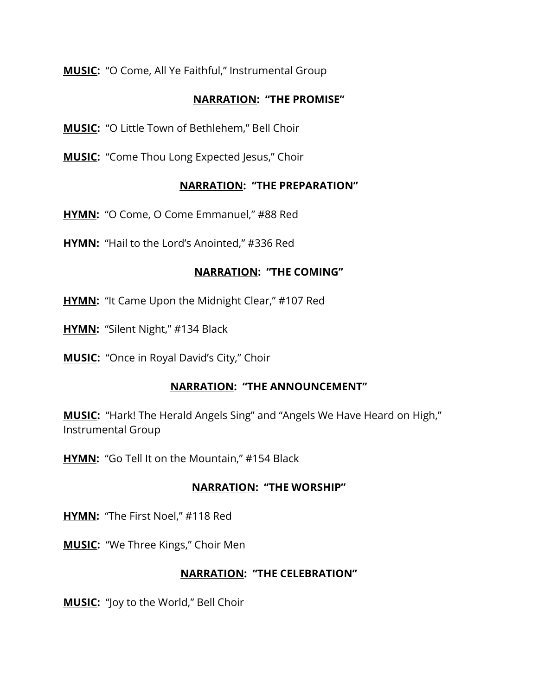**MUSIC:** "O Come, All Ye Faithful," Instrumental Group

### **NARRATION: "THE PROMISE"**

**MUSIC:** "O Little Town of Bethlehem," Bell Choir

**MUSIC:** "Come Thou Long Expected Jesus," Choir

### **NARRATION: "THE PREPARATION"**

**HYMN:** "O Come, O Come Emmanuel," #88 Red

**HYMN:** "Hail to the Lord's Anointed," #336 Red

### **NARRATION: "THE COMING"**

**HYMN:** "It Came Upon the Midnight Clear," #107 Red

**HYMN:** "Silent Night," #134 Black

**MUSIC:** "Once in Royal David's City," Choir

### **NARRATION: "THE ANNOUNCEMENT"**

**MUSIC:** "Hark! The Herald Angels Sing" and "Angels We Have Heard on High," Instrumental Group

**HYMN:** "Go Tell It on the Mountain," #154 Black

## **NARRATION: "THE WORSHIP"**

**HYMN:** "The First Noel," #118 Red

**MUSIC:** "We Three Kings," Choir Men

### **NARRATION: "THE CELEBRATION"**

**MUSIC:** "Joy to the World," Bell Choir